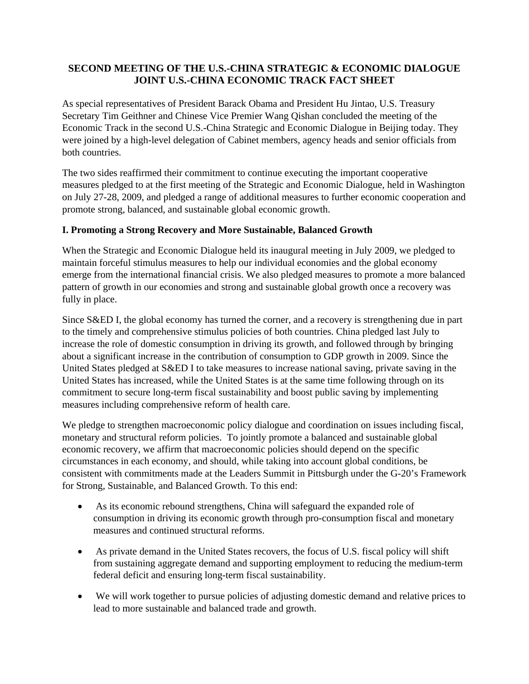# **SECOND MEETING OF THE U.S.-CHINA STRATEGIC & ECONOMIC DIALOGUE JOINT U.S.-CHINA ECONOMIC TRACK FACT SHEET**

As special representatives of President Barack Obama and President Hu Jintao, U.S. Treasury Secretary Tim Geithner and Chinese Vice Premier Wang Qishan concluded the meeting of the Economic Track in the second U.S.-China Strategic and Economic Dialogue in Beijing today. They were joined by a high-level delegation of Cabinet members, agency heads and senior officials from both countries.

The two sides reaffirmed their commitment to continue executing the important cooperative measures pledged to at the first meeting of the Strategic and Economic Dialogue, held in Washington on July 27-28, 2009, and pledged a range of additional measures to further economic cooperation and promote strong, balanced, and sustainable global economic growth.

### **I. Promoting a Strong Recovery and More Sustainable, Balanced Growth**

When the Strategic and Economic Dialogue held its inaugural meeting in July 2009, we pledged to maintain forceful stimulus measures to help our individual economies and the global economy emerge from the international financial crisis. We also pledged measures to promote a more balanced pattern of growth in our economies and strong and sustainable global growth once a recovery was fully in place.

Since S&ED I, the global economy has turned the corner, and a recovery is strengthening due in part to the timely and comprehensive stimulus policies of both countries. China pledged last July to increase the role of domestic consumption in driving its growth, and followed through by bringing about a significant increase in the contribution of consumption to GDP growth in 2009. Since the United States pledged at S&ED I to take measures to increase national saving, private saving in the United States has increased, while the United States is at the same time following through on its commitment to secure long-term fiscal sustainability and boost public saving by implementing measures including comprehensive reform of health care.

We pledge to strengthen macroeconomic policy dialogue and coordination on issues including fiscal, monetary and structural reform policies. To jointly promote a balanced and sustainable global economic recovery, we affirm that macroeconomic policies should depend on the specific circumstances in each economy, and should, while taking into account global conditions, be consistent with commitments made at the Leaders Summit in Pittsburgh under the G-20's Framework for Strong, Sustainable, and Balanced Growth. To this end:

- As its economic rebound strengthens, China will safeguard the expanded role of consumption in driving its economic growth through pro-consumption fiscal and monetary measures and continued structural reforms.
- As private demand in the United States recovers, the focus of U.S. fiscal policy will shift from sustaining aggregate demand and supporting employment to reducing the medium-term federal deficit and ensuring long-term fiscal sustainability.
- We will work together to pursue policies of adjusting domestic demand and relative prices to lead to more sustainable and balanced trade and growth.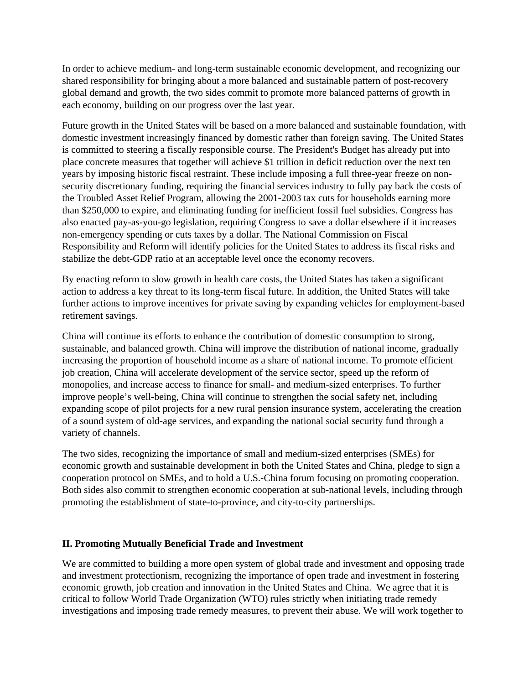In order to achieve medium- and long-term sustainable economic development, and recognizing our shared responsibility for bringing about a more balanced and sustainable pattern of post-recovery global demand and growth, the two sides commit to promote more balanced patterns of growth in each economy, building on our progress over the last year.

Future growth in the United States will be based on a more balanced and sustainable foundation, with domestic investment increasingly financed by domestic rather than foreign saving. The United States is committed to steering a fiscally responsible course. The President's Budget has already put into place concrete measures that together will achieve \$1 trillion in deficit reduction over the next ten years by imposing historic fiscal restraint. These include imposing a full three-year freeze on nonsecurity discretionary funding, requiring the financial services industry to fully pay back the costs of the Troubled Asset Relief Program, allowing the 2001-2003 tax cuts for households earning more than \$250,000 to expire, and eliminating funding for inefficient fossil fuel subsidies. Congress has also enacted pay-as-you-go legislation, requiring Congress to save a dollar elsewhere if it increases non-emergency spending or cuts taxes by a dollar. The National Commission on Fiscal Responsibility and Reform will identify policies for the United States to address its fiscal risks and stabilize the debt-GDP ratio at an acceptable level once the economy recovers.

By enacting reform to slow growth in health care costs, the United States has taken a significant action to address a key threat to its long-term fiscal future. In addition, the United States will take further actions to improve incentives for private saving by expanding vehicles for employment-based retirement savings.

China will continue its efforts to enhance the contribution of domestic consumption to strong, sustainable, and balanced growth. China will improve the distribution of national income, gradually increasing the proportion of household income as a share of national income. To promote efficient job creation, China will accelerate development of the service sector, speed up the reform of monopolies, and increase access to finance for small- and medium-sized enterprises. To further improve people's well-being, China will continue to strengthen the social safety net, including expanding scope of pilot projects for a new rural pension insurance system, accelerating the creation of a sound system of old-age services, and expanding the national social security fund through a variety of channels.

The two sides, recognizing the importance of small and medium-sized enterprises (SMEs) for economic growth and sustainable development in both the United States and China, pledge to sign a cooperation protocol on SMEs, and to hold a U.S.-China forum focusing on promoting cooperation. Both sides also commit to strengthen economic cooperation at sub-national levels, including through promoting the establishment of state-to-province, and city-to-city partnerships.

#### **II. Promoting Mutually Beneficial Trade and Investment**

We are committed to building a more open system of global trade and investment and opposing trade and investment protectionism, recognizing the importance of open trade and investment in fostering economic growth, job creation and innovation in the United States and China. We agree that it is critical to follow World Trade Organization (WTO) rules strictly when initiating trade remedy investigations and imposing trade remedy measures, to prevent their abuse. We will work together to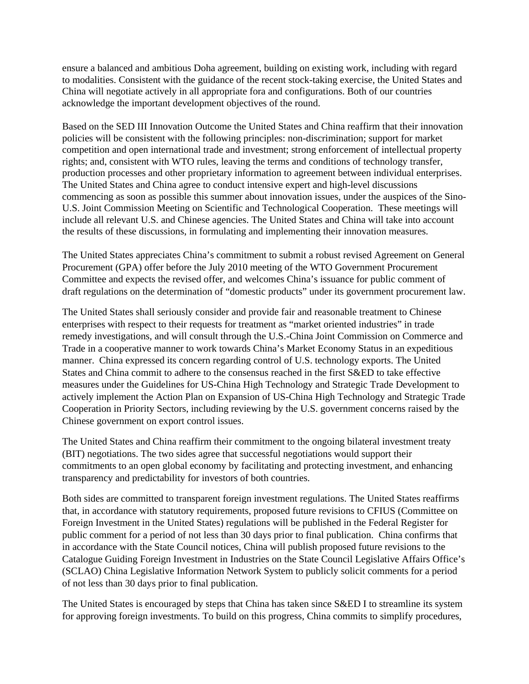ensure a balanced and ambitious Doha agreement, building on existing work, including with regard to modalities. Consistent with the guidance of the recent stock-taking exercise, the United States and China will negotiate actively in all appropriate fora and configurations. Both of our countries acknowledge the important development objectives of the round.

Based on the SED III Innovation Outcome the United States and China reaffirm that their innovation policies will be consistent with the following principles: non-discrimination; support for market competition and open international trade and investment; strong enforcement of intellectual property rights; and, consistent with WTO rules, leaving the terms and conditions of technology transfer, production processes and other proprietary information to agreement between individual enterprises. The United States and China agree to conduct intensive expert and high-level discussions commencing as soon as possible this summer about innovation issues, under the auspices of the Sino-U.S. Joint Commission Meeting on Scientific and Technological Cooperation. These meetings will include all relevant U.S. and Chinese agencies. The United States and China will take into account the results of these discussions, in formulating and implementing their innovation measures.

The United States appreciates China's commitment to submit a robust revised Agreement on General Procurement (GPA) offer before the July 2010 meeting of the WTO Government Procurement Committee and expects the revised offer, and welcomes China's issuance for public comment of draft regulations on the determination of "domestic products" under its government procurement law.

The United States shall seriously consider and provide fair and reasonable treatment to Chinese enterprises with respect to their requests for treatment as "market oriented industries" in trade remedy investigations, and will consult through the U.S.-China Joint Commission on Commerce and Trade in a cooperative manner to work towards China's Market Economy Status in an expeditious manner. China expressed its concern regarding control of U.S. technology exports. The United States and China commit to adhere to the consensus reached in the first S&ED to take effective measures under the Guidelines for US-China High Technology and Strategic Trade Development to actively implement the Action Plan on Expansion of US-China High Technology and Strategic Trade Cooperation in Priority Sectors, including reviewing by the U.S. government concerns raised by the Chinese government on export control issues.

The United States and China reaffirm their commitment to the ongoing bilateral investment treaty (BIT) negotiations. The two sides agree that successful negotiations would support their commitments to an open global economy by facilitating and protecting investment, and enhancing transparency and predictability for investors of both countries.

Both sides are committed to transparent foreign investment regulations. The United States reaffirms that, in accordance with statutory requirements, proposed future revisions to CFIUS (Committee on Foreign Investment in the United States) regulations will be published in the Federal Register for public comment for a period of not less than 30 days prior to final publication. China confirms that in accordance with the State Council notices, China will publish proposed future revisions to the Catalogue Guiding Foreign Investment in Industries on the State Council Legislative Affairs Office's (SCLAO) China Legislative Information Network System to publicly solicit comments for a period of not less than 30 days prior to final publication.

The United States is encouraged by steps that China has taken since S&ED I to streamline its system for approving foreign investments. To build on this progress, China commits to simplify procedures,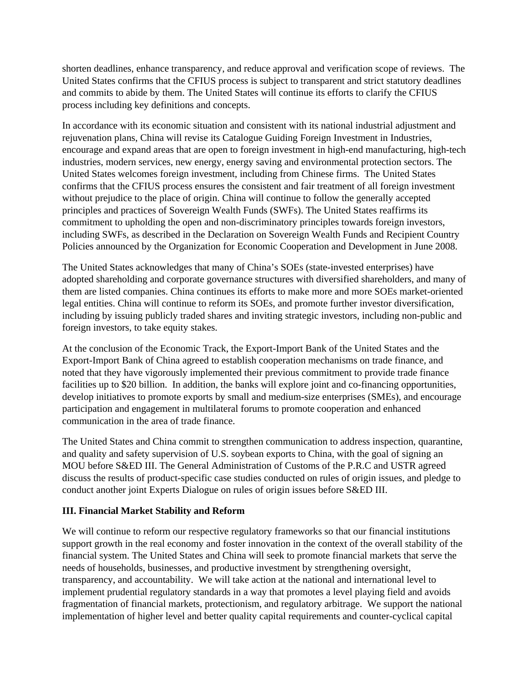shorten deadlines, enhance transparency, and reduce approval and verification scope of reviews. The United States confirms that the CFIUS process is subject to transparent and strict statutory deadlines and commits to abide by them. The United States will continue its efforts to clarify the CFIUS process including key definitions and concepts.

In accordance with its economic situation and consistent with its national industrial adjustment and rejuvenation plans, China will revise its Catalogue Guiding Foreign Investment in Industries, encourage and expand areas that are open to foreign investment in high-end manufacturing, high-tech industries, modern services, new energy, energy saving and environmental protection sectors. The United States welcomes foreign investment, including from Chinese firms. The United States confirms that the CFIUS process ensures the consistent and fair treatment of all foreign investment without prejudice to the place of origin. China will continue to follow the generally accepted principles and practices of Sovereign Wealth Funds (SWFs). The United States reaffirms its commitment to upholding the open and non-discriminatory principles towards foreign investors, including SWFs, as described in the Declaration on Sovereign Wealth Funds and Recipient Country Policies announced by the Organization for Economic Cooperation and Development in June 2008.

The United States acknowledges that many of China's SOEs (state-invested enterprises) have adopted shareholding and corporate governance structures with diversified shareholders, and many of them are listed companies. China continues its efforts to make more and more SOEs market-oriented legal entities. China will continue to reform its SOEs, and promote further investor diversification, including by issuing publicly traded shares and inviting strategic investors, including non-public and foreign investors, to take equity stakes.

At the conclusion of the Economic Track, the Export-Import Bank of the United States and the Export-Import Bank of China agreed to establish cooperation mechanisms on trade finance, and noted that they have vigorously implemented their previous commitment to provide trade finance facilities up to \$20 billion. In addition, the banks will explore joint and co-financing opportunities, develop initiatives to promote exports by small and medium-size enterprises (SMEs), and encourage participation and engagement in multilateral forums to promote cooperation and enhanced communication in the area of trade finance.

The United States and China commit to strengthen communication to address inspection, quarantine, and quality and safety supervision of U.S. soybean exports to China, with the goal of signing an MOU before S&ED III. The General Administration of Customs of the P.R.C and USTR agreed discuss the results of product-specific case studies conducted on rules of origin issues, and pledge to conduct another joint Experts Dialogue on rules of origin issues before S&ED III.

# **III. Financial Market Stability and Reform**

We will continue to reform our respective regulatory frameworks so that our financial institutions support growth in the real economy and foster innovation in the context of the overall stability of the financial system. The United States and China will seek to promote financial markets that serve the needs of households, businesses, and productive investment by strengthening oversight, transparency, and accountability. We will take action at the national and international level to implement prudential regulatory standards in a way that promotes a level playing field and avoids fragmentation of financial markets, protectionism, and regulatory arbitrage. We support the national implementation of higher level and better quality capital requirements and counter-cyclical capital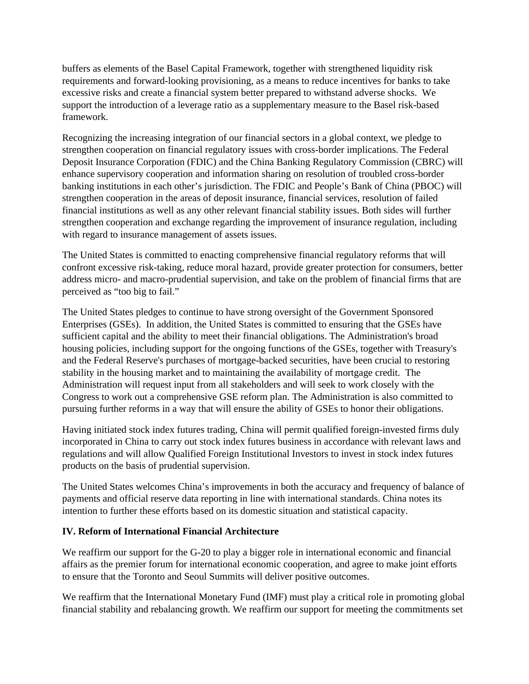buffers as elements of the Basel Capital Framework, together with strengthened liquidity risk requirements and forward-looking provisioning, as a means to reduce incentives for banks to take excessive risks and create a financial system better prepared to withstand adverse shocks. We support the introduction of a leverage ratio as a supplementary measure to the Basel risk-based framework.

Recognizing the increasing integration of our financial sectors in a global context, we pledge to strengthen cooperation on financial regulatory issues with cross-border implications. The Federal Deposit Insurance Corporation (FDIC) and the China Banking Regulatory Commission (CBRC) will enhance supervisory cooperation and information sharing on resolution of troubled cross-border banking institutions in each other's jurisdiction. The FDIC and People's Bank of China (PBOC) will strengthen cooperation in the areas of deposit insurance, financial services, resolution of failed financial institutions as well as any other relevant financial stability issues. Both sides will further strengthen cooperation and exchange regarding the improvement of insurance regulation, including with regard to insurance management of assets issues.

The United States is committed to enacting comprehensive financial regulatory reforms that will confront excessive risk-taking, reduce moral hazard, provide greater protection for consumers, better address micro- and macro-prudential supervision, and take on the problem of financial firms that are perceived as "too big to fail."

The United States pledges to continue to have strong oversight of the Government Sponsored Enterprises (GSEs). In addition, the United States is committed to ensuring that the GSEs have sufficient capital and the ability to meet their financial obligations. The Administration's broad housing policies, including support for the ongoing functions of the GSEs, together with Treasury's and the Federal Reserve's purchases of mortgage-backed securities, have been crucial to restoring stability in the housing market and to maintaining the availability of mortgage credit. The Administration will request input from all stakeholders and will seek to work closely with the Congress to work out a comprehensive GSE reform plan. The Administration is also committed to pursuing further reforms in a way that will ensure the ability of GSEs to honor their obligations.

Having initiated stock index futures trading, China will permit qualified foreign-invested firms duly incorporated in China to carry out stock index futures business in accordance with relevant laws and regulations and will allow Qualified Foreign Institutional Investors to invest in stock index futures products on the basis of prudential supervision.

The United States welcomes China's improvements in both the accuracy and frequency of balance of payments and official reserve data reporting in line with international standards. China notes its intention to further these efforts based on its domestic situation and statistical capacity.

# **IV. Reform of International Financial Architecture**

We reaffirm our support for the G-20 to play a bigger role in international economic and financial affairs as the premier forum for international economic cooperation, and agree to make joint efforts to ensure that the Toronto and Seoul Summits will deliver positive outcomes.

We reaffirm that the International Monetary Fund (IMF) must play a critical role in promoting global financial stability and rebalancing growth. We reaffirm our support for meeting the commitments set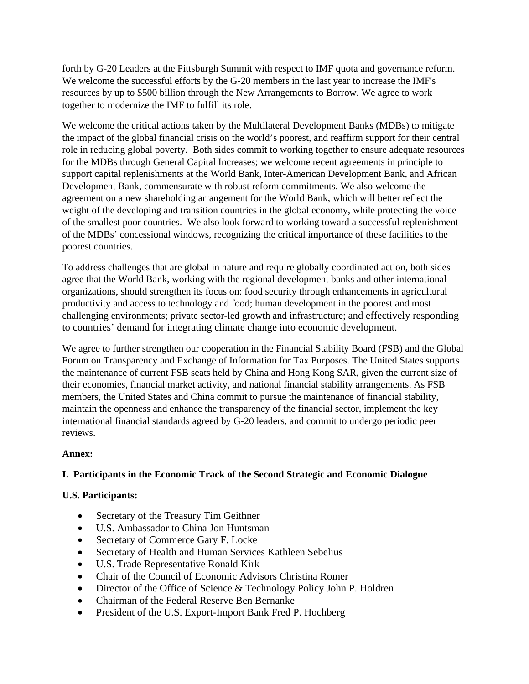forth by G-20 Leaders at the Pittsburgh Summit with respect to IMF quota and governance reform. We welcome the successful efforts by the G-20 members in the last year to increase the IMF's resources by up to \$500 billion through the New Arrangements to Borrow. We agree to work together to modernize the IMF to fulfill its role.

We welcome the critical actions taken by the Multilateral Development Banks (MDBs) to mitigate the impact of the global financial crisis on the world's poorest, and reaffirm support for their central role in reducing global poverty. Both sides commit to working together to ensure adequate resources for the MDBs through General Capital Increases; we welcome recent agreements in principle to support capital replenishments at the World Bank, Inter-American Development Bank, and African Development Bank, commensurate with robust reform commitments. We also welcome the agreement on a new shareholding arrangement for the World Bank, which will better reflect the weight of the developing and transition countries in the global economy, while protecting the voice of the smallest poor countries. We also look forward to working toward a successful replenishment of the MDBs' concessional windows, recognizing the critical importance of these facilities to the poorest countries.

To address challenges that are global in nature and require globally coordinated action, both sides agree that the World Bank, working with the regional development banks and other international organizations, should strengthen its focus on: food security through enhancements in agricultural productivity and access to technology and food; human development in the poorest and most challenging environments; private sector-led growth and infrastructure; and effectively responding to countries' demand for integrating climate change into economic development.

We agree to further strengthen our cooperation in the Financial Stability Board (FSB) and the Global Forum on Transparency and Exchange of Information for Tax Purposes. The United States supports the maintenance of current FSB seats held by China and Hong Kong SAR, given the current size of their economies, financial market activity, and national financial stability arrangements. As FSB members, the United States and China commit to pursue the maintenance of financial stability, maintain the openness and enhance the transparency of the financial sector, implement the key international financial standards agreed by G-20 leaders, and commit to undergo periodic peer reviews.

#### **Annex:**

# **I. Participants in the Economic Track of the Second Strategic and Economic Dialogue**

# **U.S. Participants:**

- Secretary of the Treasury Tim Geithner
- U.S. Ambassador to China Jon Huntsman
- Secretary of Commerce Gary F. Locke
- Secretary of Health and Human Services Kathleen Sebelius
- U.S. Trade Representative Ronald Kirk
- Chair of the Council of Economic Advisors Christina Romer
- Director of the Office of Science & Technology Policy John P. Holdren
- Chairman of the Federal Reserve Ben Bernanke
- President of the U.S. Export-Import Bank Fred P. Hochberg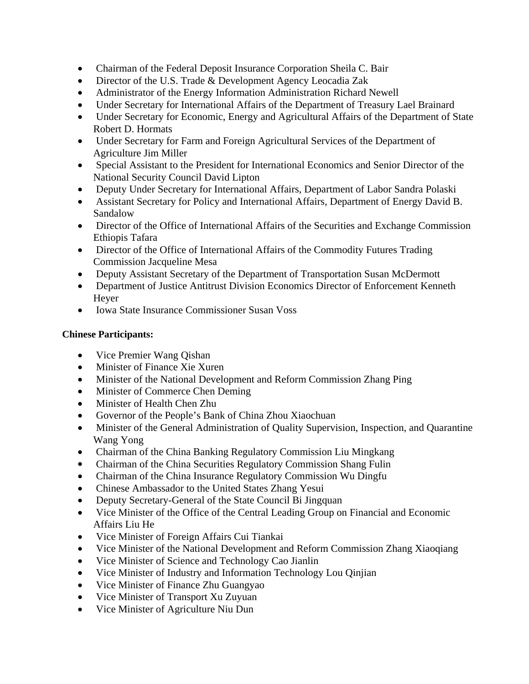- Chairman of the Federal Deposit Insurance Corporation Sheila C. Bair
- Director of the U.S. Trade & Development Agency Leocadia Zak
- Administrator of the Energy Information Administration Richard Newell
- Under Secretary for International Affairs of the Department of Treasury Lael Brainard
- Under Secretary for Economic, Energy and Agricultural Affairs of the Department of State Robert D. Hormats
- Under Secretary for Farm and Foreign Agricultural Services of the Department of Agriculture Jim Miller
- Special Assistant to the President for International Economics and Senior Director of the National Security Council David Lipton
- Deputy Under Secretary for International Affairs, Department of Labor Sandra Polaski
- Assistant Secretary for Policy and International Affairs, Department of Energy David B. Sandalow
- Director of the Office of International Affairs of the Securities and Exchange Commission Ethiopis Tafara
- Director of the Office of International Affairs of the Commodity Futures Trading Commission Jacqueline Mesa
- Deputy Assistant Secretary of the Department of Transportation Susan McDermott
- Department of Justice Antitrust Division Economics Director of Enforcement Kenneth Heyer
- Iowa State Insurance Commissioner Susan Voss

# **Chinese Participants:**

- Vice Premier Wang Qishan
- Minister of Finance Xie Xuren
- Minister of the National Development and Reform Commission Zhang Ping
- Minister of Commerce Chen Deming
- Minister of Health Chen Zhu
- Governor of the People's Bank of China Zhou Xiaochuan
- Minister of the General Administration of Quality Supervision, Inspection, and Quarantine Wang Yong
- Chairman of the China Banking Regulatory Commission Liu Mingkang
- Chairman of the China Securities Regulatory Commission Shang Fulin
- Chairman of the China Insurance Regulatory Commission Wu Dingfu
- Chinese Ambassador to the United States Zhang Yesui
- Deputy Secretary-General of the State Council Bi Jingquan
- Vice Minister of the Office of the Central Leading Group on Financial and Economic Affairs Liu He
- Vice Minister of Foreign Affairs Cui Tiankai
- Vice Minister of the National Development and Reform Commission Zhang Xiaoqiang
- Vice Minister of Science and Technology Cao Jianlin
- Vice Minister of Industry and Information Technology Lou Qinjian
- Vice Minister of Finance Zhu Guangyao
- Vice Minister of Transport Xu Zuyuan
- Vice Minister of Agriculture Niu Dun